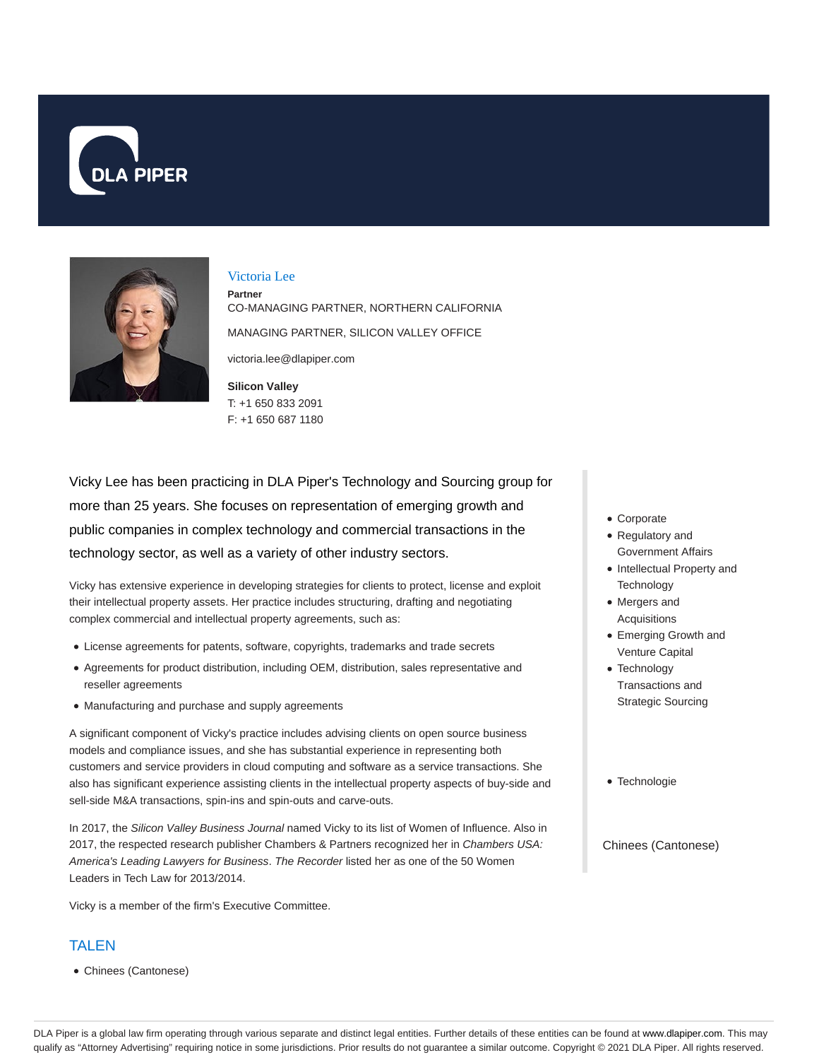



#### Victoria Lee

**Partner** CO-MANAGING PARTNER, NORTHERN CALIFORNIA MANAGING PARTNER, SILICON VALLEY OFFICE

victoria.lee@dlapiper.com

**Silicon Valley** T: +1 650 833 2091 F: +1 650 687 1180

Vicky Lee has been practicing in DLA Piper's Technology and Sourcing group for more than 25 years. She focuses on representation of emerging growth and public companies in complex technology and commercial transactions in the technology sector, as well as a variety of other industry sectors.

Vicky has extensive experience in developing strategies for clients to protect, license and exploit their intellectual property assets. Her practice includes structuring, drafting and negotiating complex commercial and intellectual property agreements, such as:

- License agreements for patents, software, copyrights, trademarks and trade secrets
- Agreements for product distribution, including OEM, distribution, sales representative and reseller agreements
- Manufacturing and purchase and supply agreements

A significant component of Vicky's practice includes advising clients on open source business models and compliance issues, and she has substantial experience in representing both customers and service providers in cloud computing and software as a service transactions. She also has significant experience assisting clients in the intellectual property aspects of buy-side and sell-side M&A transactions, spin-ins and spin-outs and carve-outs.

In 2017, the Silicon Valley Business Journal named Vicky to its list of Women of Influence. Also in 2017, the respected research publisher Chambers & Partners recognized her in Chambers USA: America's Leading Lawyers for Business. The Recorder listed her as one of the 50 Women Leaders in Tech Law for 2013/2014.

Vicky is a member of the firm's Executive Committee.

## TALEN

Chinees (Cantonese)

- Corporate
- Regulatory and Government Affairs
- Intellectual Property and **Technology**
- Mergers and Acquisitions
- Emerging Growth and Venture Capital
- Technology Transactions and Strategic Sourcing
- Technologie

Chinees (Cantonese)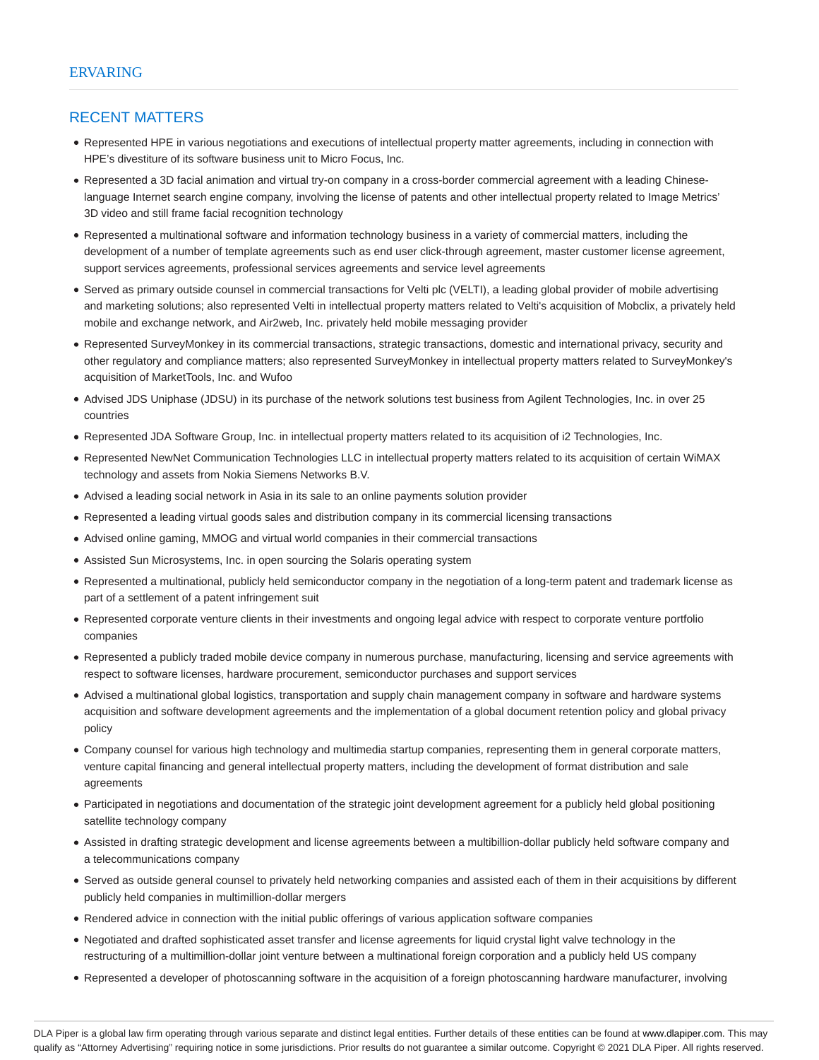#### RECENT MATTERS

- Represented HPE in various negotiations and executions of intellectual property matter agreements, including in connection with HPE's divestiture of its software business unit to Micro Focus, Inc.
- Represented a 3D facial animation and virtual try-on company in a cross-border commercial agreement with a leading Chineselanguage Internet search engine company, involving the license of patents and other intellectual property related to Image Metrics' 3D video and still frame facial recognition technology
- Represented a multinational software and information technology business in a variety of commercial matters, including the development of a number of template agreements such as end user click-through agreement, master customer license agreement, support services agreements, professional services agreements and service level agreements
- Served as primary outside counsel in commercial transactions for Velti plc (VELTI), a leading global provider of mobile advertising and marketing solutions; also represented Velti in intellectual property matters related to Velti's acquisition of Mobclix, a privately held mobile and exchange network, and Air2web, Inc. privately held mobile messaging provider
- Represented SurveyMonkey in its commercial transactions, strategic transactions, domestic and international privacy, security and other regulatory and compliance matters; also represented SurveyMonkey in intellectual property matters related to SurveyMonkey's acquisition of MarketTools, Inc. and Wufoo
- Advised JDS Uniphase (JDSU) in its purchase of the network solutions test business from Agilent Technologies, Inc. in over 25 countries
- Represented JDA Software Group, Inc. in intellectual property matters related to its acquisition of i2 Technologies, Inc.
- Represented NewNet Communication Technologies LLC in intellectual property matters related to its acquisition of certain WiMAX technology and assets from Nokia Siemens Networks B.V.
- Advised a leading social network in Asia in its sale to an online payments solution provider
- Represented a leading virtual goods sales and distribution company in its commercial licensing transactions
- Advised online gaming, MMOG and virtual world companies in their commercial transactions
- Assisted Sun Microsystems, Inc. in open sourcing the Solaris operating system
- Represented a multinational, publicly held semiconductor company in the negotiation of a long-term patent and trademark license as part of a settlement of a patent infringement suit
- Represented corporate venture clients in their investments and ongoing legal advice with respect to corporate venture portfolio companies
- Represented a publicly traded mobile device company in numerous purchase, manufacturing, licensing and service agreements with respect to software licenses, hardware procurement, semiconductor purchases and support services
- Advised a multinational global logistics, transportation and supply chain management company in software and hardware systems acquisition and software development agreements and the implementation of a global document retention policy and global privacy policy
- Company counsel for various high technology and multimedia startup companies, representing them in general corporate matters, venture capital financing and general intellectual property matters, including the development of format distribution and sale agreements
- Participated in negotiations and documentation of the strategic joint development agreement for a publicly held global positioning satellite technology company
- Assisted in drafting strategic development and license agreements between a multibillion-dollar publicly held software company and a telecommunications company
- Served as outside general counsel to privately held networking companies and assisted each of them in their acquisitions by different publicly held companies in multimillion-dollar mergers
- Rendered advice in connection with the initial public offerings of various application software companies
- Negotiated and drafted sophisticated asset transfer and license agreements for liquid crystal light valve technology in the restructuring of a multimillion-dollar joint venture between a multinational foreign corporation and a publicly held US company
- Represented a developer of photoscanning software in the acquisition of a foreign photoscanning hardware manufacturer, involving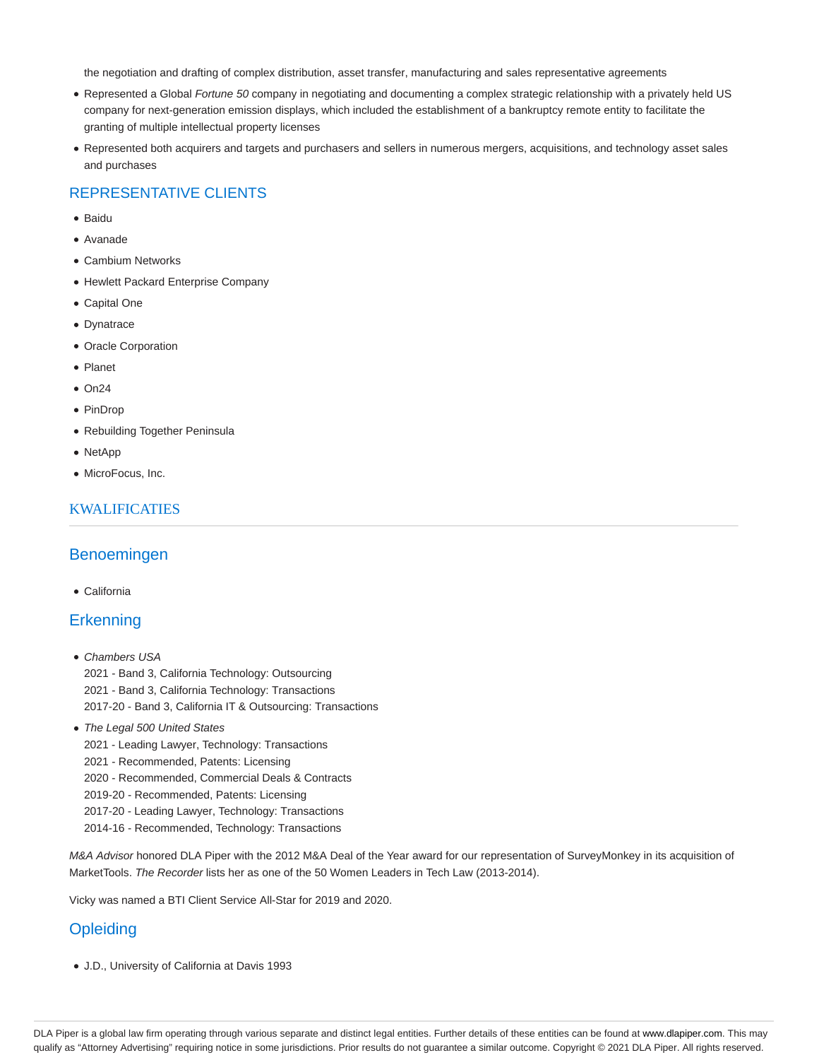the negotiation and drafting of complex distribution, asset transfer, manufacturing and sales representative agreements

- Represented a Global Fortune 50 company in negotiating and documenting a complex strategic relationship with a privately held US company for next-generation emission displays, which included the establishment of a bankruptcy remote entity to facilitate the granting of multiple intellectual property licenses
- Represented both acquirers and targets and purchasers and sellers in numerous mergers, acquisitions, and technology asset sales and purchases

# REPRESENTATIVE CLIENTS

- Baidu
- Avanade
- Cambium Networks
- Hewlett Packard Enterprise Company
- Capital One
- Dynatrace
- Oracle Corporation
- Planet
- $\bullet$  On24
- PinDrop
- Rebuilding Together Peninsula
- NetApp
- MicroFocus, Inc.

#### KWALIFICATIES

## Benoemingen

California

## **Erkenning**

- Chambers USA 2021 - Band 3, California Technology: Outsourcing 2021 - Band 3, California Technology: Transactions 2017-20 - Band 3, California IT & Outsourcing: Transactions
- The Legal 500 United States
	- 2021 Leading Lawyer, Technology: Transactions
	- 2021 Recommended, Patents: Licensing
	- 2020 Recommended, Commercial Deals & Contracts
	- 2019-20 Recommended, Patents: Licensing
	- 2017-20 Leading Lawyer, Technology: Transactions
	- 2014-16 Recommended, Technology: Transactions

M&A Advisor honored DLA Piper with the 2012 M&A Deal of the Year award for our representation of SurveyMonkey in its acquisition of MarketTools. The Recorder lists her as one of the 50 Women Leaders in Tech Law (2013-2014).

Vicky was named a BTI Client Service All-Star for 2019 and 2020.

# **Opleiding**

J.D., University of California at Davis 1993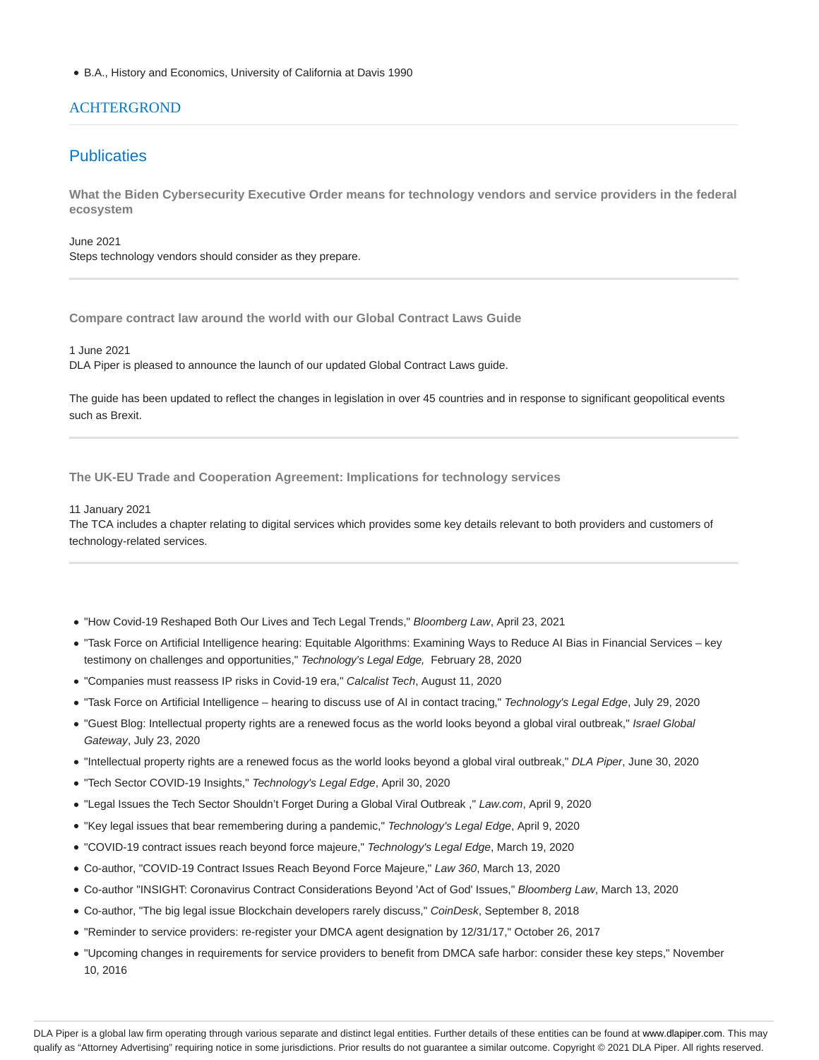B.A., History and Economics, University of California at Davis 1990

#### **ACHTERGROND**

## **Publicaties**

**What the Biden Cybersecurity Executive Order means for technology vendors and service providers in the federal ecosystem**

June 2021 Steps technology vendors should consider as they prepare.

**Compare contract law around the world with our Global Contract Laws Guide**

1 June 2021

DLA Piper is pleased to announce the launch of our updated Global Contract Laws guide.

The guide has been updated to reflect the changes in legislation in over 45 countries and in response to significant geopolitical events such as Brexit.

**The UK-EU Trade and Cooperation Agreement: Implications for technology services**

#### 11 January 2021

The TCA includes a chapter relating to digital services which provides some key details relevant to both providers and customers of technology-related services.

- . "How Covid-19 Reshaped Both Our Lives and Tech Legal Trends," Bloomberg Law, April 23, 2021
- "Task Force on Artificial Intelligence hearing: Equitable Algorithms: Examining Ways to Reduce AI Bias in Financial Services key testimony on challenges and opportunities," Technology's Legal Edge, February 28, 2020
- "Companies must reassess IP risks in Covid-19 era," Calcalist Tech, August 11, 2020
- "Task Force on Artificial Intelligence hearing to discuss use of AI in contact tracing," Technology's Legal Edge, July 29, 2020
- "Guest Blog: Intellectual property rights are a renewed focus as the world looks beyond a global viral outbreak," Israel Global Gateway, July 23, 2020
- "Intellectual property rights are a renewed focus as the world looks beyond a global viral outbreak," DLA Piper, June 30, 2020
- "Tech Sector COVID-19 Insights," Technology's Legal Edge, April 30, 2020
- "Legal Issues the Tech Sector Shouldn't Forget During a Global Viral Outbreak ," Law.com, April 9, 2020
- "Key legal issues that bear remembering during a pandemic," Technology's Legal Edge, April 9, 2020
- "COVID-19 contract issues reach beyond force majeure," Technology's Legal Edge, March 19, 2020
- Co-author, "COVID-19 Contract Issues Reach Beyond Force Majeure," Law 360, March 13, 2020
- Co-author "INSIGHT: Coronavirus Contract Considerations Beyond 'Act of God' Issues," Bloomberg Law, March 13, 2020
- Co-author, "The big legal issue Blockchain developers rarely discuss," CoinDesk, September 8, 2018
- "Reminder to service providers: re-register your DMCA agent designation by 12/31/17," October 26, 2017
- "Upcoming changes in requirements for service providers to benefit from DMCA safe harbor: consider these key steps," November 10, 2016